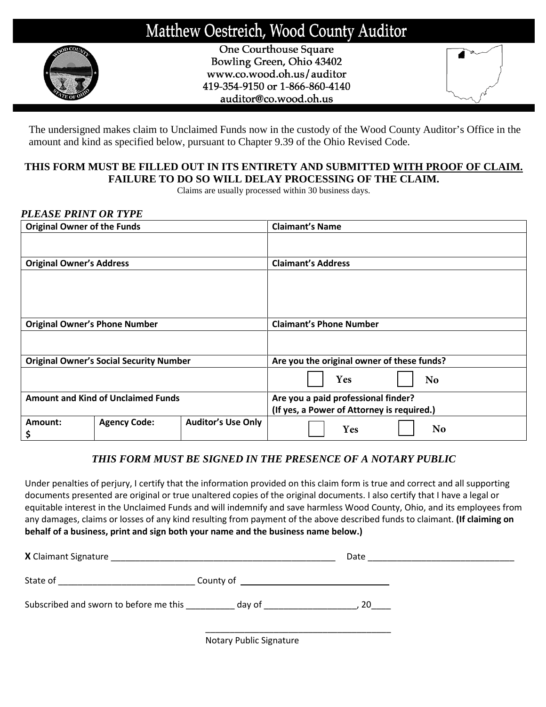# Matthew Oestreich, Wood County Auditor



One Courthouse Square Bowling Green, Ohio 43402 www.co.wood.oh.us/auditor 419-354-9150 or 1-866-860-4140 auditor@co.wood.oh.us



The undersigned makes claim to Unclaimed Funds now in the custody of the Wood County Auditor's Office in the amount and kind as specified below, pursuant to Chapter 9.39 of the Ohio Revised Code.

# **THIS FORM MUST BE FILLED OUT IN ITS ENTIRETY AND SUBMITTED WITH PROOF OF CLAIM. FAILURE TO DO SO WILL DELAY PROCESSING OF THE CLAIM.**

Claims are usually processed within 30 business days.

# *PLEASE PRINT OR TYPE*

| <b>Original Owner of the Funds</b>        |                                                |                           | <b>Claimant's Name</b>                     |  |
|-------------------------------------------|------------------------------------------------|---------------------------|--------------------------------------------|--|
|                                           |                                                |                           |                                            |  |
| <b>Original Owner's Address</b>           |                                                |                           | <b>Claimant's Address</b>                  |  |
|                                           |                                                |                           |                                            |  |
|                                           |                                                |                           |                                            |  |
|                                           |                                                |                           |                                            |  |
|                                           |                                                |                           |                                            |  |
| <b>Original Owner's Phone Number</b>      |                                                |                           | <b>Claimant's Phone Number</b>             |  |
|                                           |                                                |                           |                                            |  |
|                                           |                                                |                           |                                            |  |
|                                           | <b>Original Owner's Social Security Number</b> |                           | Are you the original owner of these funds? |  |
|                                           |                                                |                           | <b>Yes</b><br>N <sub>o</sub>               |  |
| <b>Amount and Kind of Unclaimed Funds</b> |                                                |                           | Are you a paid professional finder?        |  |
|                                           |                                                |                           | (If yes, a Power of Attorney is required.) |  |
| Amount:<br>\$                             | <b>Agency Code:</b>                            | <b>Auditor's Use Only</b> | N <sub>o</sub><br>Yes                      |  |

# *THIS FORM MUST BE SIGNED IN THE PRESENCE OF A NOTARY PUBLIC*

Under penalties of perjury, I certify that the information provided on this claim form is true and correct and all supporting documents presented are original or true unaltered copies of the original documents. I also certify that I have a legal or equitable interest in the Unclaimed Funds and will indemnify and save harmless Wood County, Ohio, and its employees from any damages, claims or losses of any kind resulting from payment of the above described funds to claimant. **(If claiming on behalf of a business, print and sign both your name and the business name below.)**

| X Claimant Signature                   | <u> 1980 - Johann Barn, fransk politik (f. 1980)</u>                                                                              | Date |
|----------------------------------------|-----------------------------------------------------------------------------------------------------------------------------------|------|
|                                        | County of<br><u> 1980 - Jan Barbara, martin martin da shekara tsara 1980 - An tsara 1980 - An tsara 1980 - An tsara 1980 - An</u> |      |
| Subscribed and sworn to before me this | day of the control of the control of the control of the control of the control of the control of the control o                    | 20   |
|                                        | Notary Public Signature                                                                                                           |      |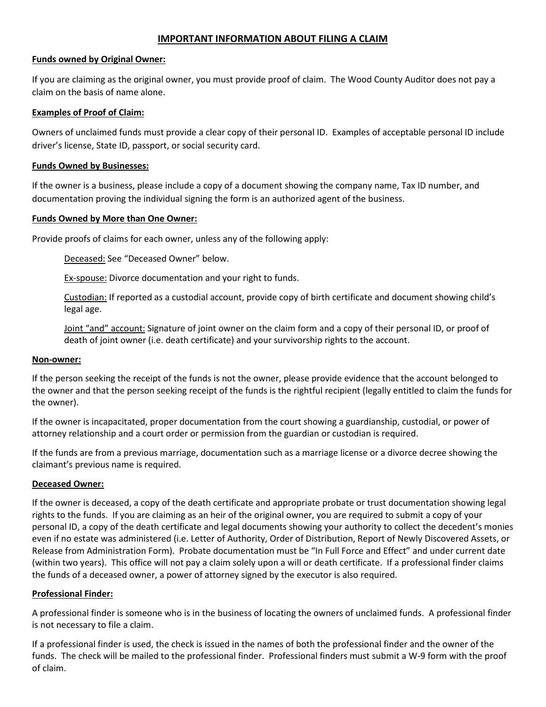# **IMPORTANT INFORMATION ABOUT FILING A CLAIM**

#### **Funds owned by Original Owner:**

If you are claiming as the original owner, you must provide proof of claim. The Wood County Auditor does not pay a claim on the basis of name alone.

## **Examples of Proof of Claim:**

Owners of unclaimed funds must provide a clear copy of their personal ID. Examples of acceptable personal ID include driver's license, State ID, passport, or social security card.

#### **Funds Owned by Businesses:**

If the owner is a business, please include a copy of a document showing the company name, Tax ID number, and documentation proving the individual signing the form is an authorized agent of the business.

#### **Funds Owned by More than One Owner:**

Provide proofs of claims for each owner, unless any of the following apply:

Deceased: See "Deceased Owner" below.

Ex-spouse: Divorce documentation and your right to funds.

Custodian: If reported as a custodial account, provide copy of birth certificate and document showing child's legal age.

Joint "and" account: Signature of joint owner on the claim form and a copy of their personal ID, or proof of death of joint owner (i.e. death certificate) and your survivorship rights to the account.

#### **Non-owner:**

If the person seeking the receipt of the funds is not the owner, please provide evidence that the account belonged to the owner and that the person seeking receipt of the funds is the rightful recipient (legally entitled to claim the funds for the owner).

If the owner is incapacitated, proper documentation from the court showing a guardianship, custodial, or power of attorney relationship and a court order or permission from the guardian or custodian is required.

If the funds are from a previous marriage, documentation such as a marriage license or a divorce decree showing the claimant's previous name is required.

## **Deceased Owner:**

If the owner is deceased, a copy of the death certificate and appropriate probate or trust documentation showing legal rights to the funds. If you are claiming as an heir of the original owner, you are required to submit a copy of your personal ID, a copy of the death certificate and legal documents showing your authority to collect the decedent's monies even if no estate was administered (i.e. Letter of Authority, Order of Distribution, Report of Newly Discovered Assets, or Release from Administration Form). Probate documentation must be "In Full Force and Effect" and under current date (within two years). This office will not pay a claim solely upon a will or death certificate. If a professional finder claims the funds of a deceased owner, a power of attorney signed by the executor is also required.

## **Professional Finder:**

A professional finder is someone who is in the business of locating the owners of unclaimed funds. A professional finder is not necessary to file a claim.

If a professional finder is used, the check is issued in the names of both the professional finder and the owner of the funds. The check will be mailed to the professional finder. Professional finders must submit a W-9 form with the proof of claim.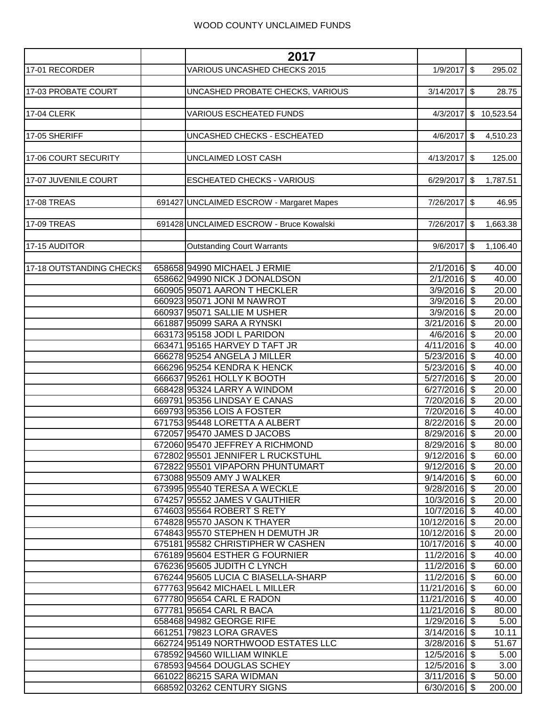|                          | 2017                                                                  |                                |                       |
|--------------------------|-----------------------------------------------------------------------|--------------------------------|-----------------------|
| 17-01 RECORDER           | VARIOUS UNCASHED CHECKS 2015                                          | $1/9/2017$ \$                  | 295.02                |
|                          |                                                                       |                                |                       |
| 17-03 PROBATE COURT      | UNCASHED PROBATE CHECKS, VARIOUS                                      | $3/14/2017$ \$                 | 28.75                 |
|                          |                                                                       |                                |                       |
| <b>17-04 CLERK</b>       | <b>VARIOUS ESCHEATED FUNDS</b>                                        |                                | 4/3/2017 \$ 10,523.54 |
|                          |                                                                       |                                |                       |
| 17-05 SHERIFF            | UNCASHED CHECKS - ESCHEATED                                           | $4/6/2017$ \$                  | 4,510.23              |
| 17-06 COURT SECURITY     | UNCLAIMED LOST CASH                                                   | $4/13/2017$ \$                 | 125.00                |
|                          |                                                                       |                                |                       |
| 17-07 JUVENILE COURT     | ESCHEATED CHECKS - VARIOUS                                            | $6/29/2017$ \$                 | 1,787.51              |
|                          |                                                                       |                                |                       |
| <b>17-08 TREAS</b>       | 691427 UNCLAIMED ESCROW - Margaret Mapes                              | 7/26/2017 \$                   | 46.95                 |
|                          |                                                                       |                                |                       |
| 17-09 TREAS              | 691428 UNCLAIMED ESCROW - Bruce Kowalski                              | 7/26/2017                      | \$<br>1,663.38        |
|                          |                                                                       |                                |                       |
| 17-15 AUDITOR            | <b>Outstanding Court Warrants</b>                                     | $9/6/2017$ \$                  | 1,106.40              |
|                          |                                                                       |                                |                       |
| 17-18 OUTSTANDING CHECKS | 658658 94990 MICHAEL J ERMIE<br>658662 94990 NICK J DONALDSON         | $2/1/2016$ \$<br>$2/1/2016$ \$ | 40.00                 |
|                          | 660905 95071 AARON T HECKLER                                          | $3/9/2016$ \$                  | 40.00<br>20.00        |
|                          | 660923 95071 JONI M NAWROT                                            | $3/9/2016$ \$                  | 20.00                 |
|                          | 660937 95071 SALLIE M USHER                                           | $3/9/2016$ \$                  | 20.00                 |
|                          | 661887 95099 SARA A RYNSKI                                            | $3/21/2016$ \$                 | 20.00                 |
|                          | 663173 95158 JODI L PARIDON                                           | $4/6/2016$ \$                  | 20.00                 |
|                          | 663471 95165 HARVEY D TAFT JR                                         | $4/11/2016$ \$                 | 40.00                 |
|                          | 666278 95254 ANGELA J MILLER                                          | $5/23/2016$ \$                 | 40.00                 |
|                          | 666296 95254 KENDRA K HENCK                                           | $5/23/2016$ \$                 | 40.00                 |
|                          | 666637 95261 HOLLY K BOOTH                                            | $5/27/2016$ \$                 | 20.00                 |
|                          | 668428 95324 LARRY A WINDOM                                           | $6/27/2016$ \$                 | 20.00                 |
|                          | 669791 95356 LINDSAY E CANAS                                          | 7/20/2016 \$                   | 20.00                 |
|                          | 669793 95356 LOIS A FOSTER                                            | 7/20/2016 \$                   | 40.00                 |
|                          | 671753 95448 LORETTA A ALBERT                                         | 8/22/2016 \$                   | 20.00                 |
|                          | 672057 95470 JAMES D JACOBS                                           | $8/29/2016$ \$                 | 20.00                 |
|                          | 672060 95470 JEFFREY A RICHMOND                                       | $8/29/2016$ \$                 | 80.00                 |
|                          | 672802 95501 JENNIFER L RUCKSTUHL                                     | $9/12/2016$ \$                 | 60.00                 |
|                          | 672822 95501 VIPAPORN PHUNTUMART                                      | $9/12/2016$ \$                 | 20.00                 |
|                          | 673088 95509 AMY J WALKER                                             | $9/14/2016$ \$                 | 60.00                 |
|                          | 673995 95540 TERESA A WECKLE                                          | $9/28/2016$ \$                 | 20.00                 |
|                          | 674257 95552 JAMES V GAUTHIER                                         | $10/3/2016$ \$                 | 20.00                 |
|                          | 674603 95564 ROBERT S RETY                                            | 10/7/2016 \$                   | 40.00                 |
|                          | 674828 95570 JASON K THAYER                                           | 10/12/2016 \$<br>10/12/2016 \$ | 20.00                 |
|                          | 674843 95570 STEPHEN H DEMUTH JR<br>675181 95582 CHRISTIPHER W CASHEN | 10/17/2016 \$                  | 20.00<br>40.00        |
|                          | 676189 95604 ESTHER G FOURNIER                                        | 11/2/2016 \$                   | 40.00                 |
|                          | 676236 95605 JUDITH C LYNCH                                           | $11/2/2016$ \$                 | 60.00                 |
|                          | 676244 95605 LUCIA C BIASELLA-SHARP                                   | 11/2/2016 \$                   | 60.00                 |
|                          | 677763 95642 MICHAEL L MILLER                                         | 11/21/2016 \$                  | 60.00                 |
|                          | 677780 95654 CARL E RADON                                             | 11/21/2016 \$                  | 40.00                 |
|                          | 677781 95654 CARL R BACA                                              | 11/21/2016 \$                  | 80.00                 |
|                          | 658468 94982 GEORGE RIFE                                              | $1/29/2016$ \$                 | 5.00                  |
|                          | 661251 79823 LORA GRAVES                                              | $3/14/2016$ \$                 | 10.11                 |
|                          | 662724 95149 NORTHWOOD ESTATES LLC                                    | $3/28/2016$ \$                 | 51.67                 |
|                          | 678592 94560 WILLIAM WINKLE                                           | 12/5/2016 \$                   | 5.00                  |
|                          | 678593 94564 DOUGLAS SCHEY                                            | 12/5/2016 \$                   | 3.00                  |
|                          | 661022 86215 SARA WIDMAN                                              | $3/11/2016$ \$                 | 50.00                 |
|                          | 668592 03262 CENTURY SIGNS                                            | $6/30/2016$ \$                 | 200.00                |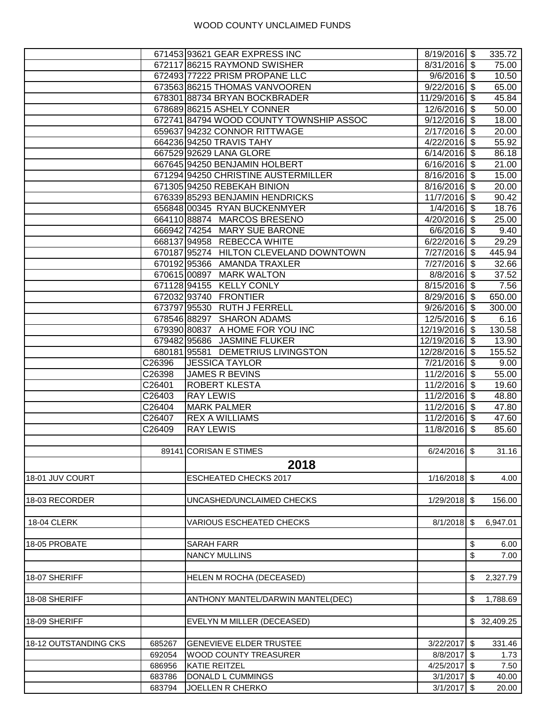|                       |        | 671453 93621 GEAR EXPRESS INC           | 8/19/2016 \$   |                           | 335.72      |
|-----------------------|--------|-----------------------------------------|----------------|---------------------------|-------------|
|                       |        | 672117 86215 RAYMOND SWISHER            | $8/31/2016$ \$ |                           | 75.00       |
|                       |        | 672493 77222 PRISM PROPANE LLC          | $9/6/2016$ \$  |                           | 10.50       |
|                       |        | 673563 86215 THOMAS VANVOOREN           | $9/22/2016$ \$ |                           | 65.00       |
|                       |        | 678301 88734 BRYAN BOCKBRADER           | 11/29/2016 \$  |                           | 45.84       |
|                       |        | 678689 86215 ASHELY CONNER              | 12/6/2016 \$   |                           | 50.00       |
|                       |        | 672741 84794 WOOD COUNTY TOWNSHIP ASSOC | $9/12/2016$ \$ |                           | 18.00       |
|                       |        | 659637 94232 CONNOR RITTWAGE            | $2/17/2016$ \$ |                           | 20.00       |
|                       |        | 664236 94250 TRAVIS TAHY                | $4/22/2016$ \$ |                           | 55.92       |
|                       |        | 667529 92629 LANA GLORE                 | $6/14/2016$ \$ |                           | 86.18       |
|                       |        | 667645 94250 BENJAMIN HOLBERT           | $6/16/2016$ \$ |                           | 21.00       |
|                       |        | 671294 94250 CHRISTINE AUSTERMILLER     | 8/16/2016 \$   |                           | 15.00       |
|                       |        | 671305 94250 REBEKAH BINION             | $8/16/2016$ \$ |                           | 20.00       |
|                       |        | 676339 85293 BENJAMIN HENDRICKS         | 11/7/2016 \$   |                           | 90.42       |
|                       |        | 656848 00345 RYAN BUCKENMYER            | $1/4/2016$ \$  |                           | 18.76       |
|                       |        | 66411088874 MARCOS BRESENO              | 4/20/2016      | $\boldsymbol{\mathsf{S}}$ | 25.00       |
|                       |        | 666942 74254 MARY SUE BARONE            | $6/6/2016$ \$  |                           | 9.40        |
|                       |        | 668137 94958 REBECCA WHITE              | $6/22/2016$ \$ |                           | 29.29       |
|                       |        | 670187 95274 HILTON CLEVELAND DOWNTOWN  | 7/27/2016 \$   |                           | 445.94      |
|                       |        | 670192 95366 AMANDA TRAXLER             | 7/27/2016 \$   |                           | 32.66       |
|                       |        | 670615 00897 MARK WALTON                | $8/8/2016$ \$  |                           | 37.52       |
|                       |        | 671128 94155 KELLY CONLY                | $8/15/2016$ \$ |                           | 7.56        |
|                       |        | 672032 93740 FRONTIER                   | 8/29/2016 \$   |                           | 650.00      |
|                       |        | 673797 95530 RUTH J FERRELL             | $9/26/2016$ \$ |                           | 300.00      |
|                       |        | 678546 88297 SHARON ADAMS               | 12/5/2016 \$   |                           | 6.16        |
|                       |        | 679390 80837 A HOME FOR YOU INC         | 12/19/2016 \$  |                           | 130.58      |
|                       |        | 679482 95686 JASMINE FLUKER             | 12/19/2016 \$  |                           |             |
|                       |        | 680181 95581 DEMETRIUS LIVINGSTON       |                |                           | 13.90       |
|                       |        |                                         | 12/28/2016 \$  |                           | 155.52      |
|                       | C26396 | <b>JESSICA TAYLOR</b>                   | $7/21/2016$ \$ |                           | 9.00        |
|                       | C26398 | JAMES R BEVINS                          | 11/2/2016 \$   |                           | 55.00       |
|                       | C26401 | <b>ROBERT KLESTA</b>                    | $11/2/2016$ \$ |                           | 19.60       |
|                       | C26403 | <b>RAY LEWIS</b>                        | $11/2/2016$ \$ |                           | 48.80       |
|                       | C26404 | <b>MARK PALMER</b>                      | 11/2/2016 \$   |                           | 47.80       |
|                       | C26407 | <b>REX A WILLIAMS</b>                   | 11/2/2016 \$   |                           | 47.60       |
|                       | C26409 | <b>RAY LEWIS</b>                        | 11/8/2016 \$   |                           | 85.60       |
|                       |        |                                         |                |                           |             |
|                       |        | 89141 CORISAN E STIMES                  | $6/24/2016$ \$ |                           | 31.16       |
|                       |        | 2018                                    |                |                           |             |
| 18-01 JUV COURT       |        | <b>ESCHEATED CHECKS 2017</b>            | $1/16/2018$ \$ |                           | 4.00        |
|                       |        |                                         |                |                           |             |
| 18-03 RECORDER        |        | UNCASHED/UNCLAIMED CHECKS               | $1/29/2018$ \$ |                           | 156.00      |
|                       |        |                                         |                |                           |             |
| <b>18-04 CLERK</b>    |        | <b>VARIOUS ESCHEATED CHECKS</b>         | $8/1/2018$ \$  |                           | 6,947.01    |
|                       |        |                                         |                |                           |             |
| 18-05 PROBATE         |        | <b>SARAH FARR</b>                       |                | \$                        | 6.00        |
|                       |        | <b>NANCY MULLINS</b>                    |                | \$                        | 7.00        |
|                       |        |                                         |                |                           |             |
| 18-07 SHERIFF         |        | HELEN M ROCHA (DECEASED)                |                | \$                        | 2,327.79    |
|                       |        |                                         |                |                           |             |
| 18-08 SHERIFF         |        | ANTHONY MANTEL/DARWIN MANTEL(DEC)       |                | \$                        | 1,788.69    |
|                       |        |                                         |                |                           |             |
| 18-09 SHERIFF         |        | EVELYN M MILLER (DECEASED)              |                |                           | \$32,409.25 |
|                       |        |                                         |                |                           |             |
|                       |        |                                         |                |                           |             |
| 18-12 OUTSTANDING CKS | 685267 | <b>GENEVIEVE ELDER TRUSTEE</b>          | $3/22/2017$ \$ |                           | 331.46      |
|                       | 692054 | <b>WOOD COUNTY TREASURER</b>            | 8/8/2017 \$    |                           | 1.73        |
|                       | 686956 | KATIE REITZEL                           | $4/25/2017$ \$ |                           | 7.50        |
|                       | 683786 | DONALD L CUMMINGS                       | $3/1/2017$ \$  |                           | 40.00       |
|                       | 683794 | JOELLEN R CHERKO                        | $3/1/2017$ \$  |                           | 20.00       |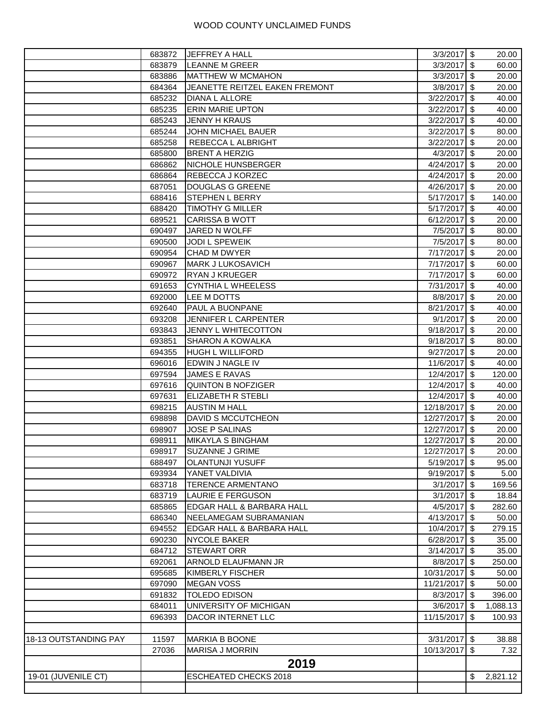|                       | 683872           | <b>JEFFREY A HALL</b>                              | $3/3/2017$ \$          |               | 20.00          |
|-----------------------|------------------|----------------------------------------------------|------------------------|---------------|----------------|
|                       | 683879           | <b>LEANNE M GREER</b>                              | $3/3/2017$ \$          |               | 60.00          |
|                       | 683886           | <b>MATTHEW W MCMAHON</b>                           | $3/3/2017$ \$          |               | 20.00          |
|                       | 684364           | JEANETTE REITZEL EAKEN FREMONT                     | $3/8/2017$ \$          |               | 20.00          |
|                       | 685232           | DIANA L ALLORE                                     | 3/22/2017              | $\sqrt{3}$    | 40.00          |
|                       | 685235           | <b>ERIN MARIE UPTON</b>                            | 3/22/2017              | \$            | 40.00          |
|                       | 685243           | <b>JENNY H KRAUS</b>                               | 3/22/2017              | \$            | 40.00          |
|                       | 685244           | JOHN MICHAEL BAUER                                 | 3/22/2017              | $\sqrt{3}$    | 80.00          |
|                       | 685258           | REBECCA L ALBRIGHT                                 | 3/22/2017              | \$            | 20.00          |
|                       | 685800           | <b>BRENT A HERZIG</b>                              | 4/3/2017               | $\sqrt[6]{3}$ | 20.00          |
|                       | 686862           | NICHOLE HUNSBERGER                                 | 4/24/2017              | $\sqrt[6]{3}$ | 20.00          |
|                       | 686864           | REBECCA J KORZEC                                   | 4/24/2017              | $\sqrt[6]{3}$ | 20.00          |
|                       | 687051           | DOUGLAS G GREENE                                   | 4/26/2017              | $\sqrt{3}$    | 20.00          |
|                       | 688416           | STEPHEN L BERRY                                    | 5/17/2017              | $\sqrt[6]{3}$ | 140.00         |
|                       | 688420           | <b>TIMOTHY G MILLER</b>                            | 5/17/2017              | $\sqrt{2}$    | 40.00          |
|                       | 689521           | <b>CARISSA B WOTT</b>                              | 6/12/2017              | $\sqrt{3}$    | 20.00          |
|                       | 690497           | JARED N WOLFF                                      | 7/5/2017 \$            |               | 80.00          |
|                       | 690500           | JODI L SPEWEIK                                     | 7/5/2017               | \$            | 80.00          |
|                       | 690954           | CHAD M DWYER                                       | 7/17/2017              | $\sqrt[6]{3}$ | 20.00          |
|                       | 690967           | <b>MARK J LUKOSAVICH</b>                           | 7/17/2017              | l \$          | 60.00          |
|                       | 690972           | <b>RYAN J KRUEGER</b>                              | 7/17/2017 \$           |               | 60.00          |
|                       | 691653           | <b>CYNTHIA L WHEELESS</b>                          | 7/31/2017              | $\sqrt{3}$    | 40.00          |
|                       | 692000           | LEE M DOTTS                                        | 8/8/2017               | $\sqrt{3}$    | 20.00          |
|                       | 692640           | PAUL A BUONPANE                                    | 8/21/2017 \$           |               | 40.00          |
|                       | 693208           | JENNIFER L CARPENTER                               | $9/1/2017$ \$          |               | 20.00          |
|                       | 693843           | JENNY L WHITECOTTON                                | 9/18/2017              | $\sqrt{3}$    | 20.00          |
|                       |                  |                                                    |                        | $\sqrt[3]{2}$ |                |
|                       | 693851           | <b>SHARON A KOWALKA</b><br><b>HUGH L WILLIFORD</b> | 9/18/2017              | $\sqrt{3}$    | 80.00<br>20.00 |
|                       | 694355<br>696016 | EDWIN J NAGLE IV                                   | 9/27/2017<br>11/6/2017 | l \$          | 40.00          |
|                       |                  |                                                    |                        | $\sqrt[6]{3}$ |                |
|                       | 697594           | JAMES E RAVAS<br><b>QUINTON B NOFZIGER</b>         | 12/4/2017<br>12/4/2017 | $\sqrt[3]{2}$ | 120.00         |
|                       | 697616<br>697631 | ELIZABETH R STEBLI                                 | 12/4/2017 \$           |               | 40.00<br>40.00 |
|                       | 698215           | <b>AUSTIN M HALL</b>                               | 12/18/2017 \$          |               | 20.00          |
|                       | 698898           | DAVID S MCCUTCHEON                                 | 12/27/2017 \$          |               | 20.00          |
|                       | 698907           | <b>JOSE P SALINAS</b>                              | 12/27/2017             | l \$          | 20.00          |
|                       | 698911           | <b>MIKAYLA S BINGHAM</b>                           | 12/27/2017             | $\sqrt{3}$    | 20.00          |
|                       | 698917           | <b>SUZANNE J GRIME</b>                             | 12/27/2017 \$          |               | 20.00          |
|                       | 688497           | <b>OLANTUNJI YUSUFF</b>                            | $5/19/2017$ \$         |               |                |
|                       | 693934           | YANET VALDIVIA                                     | $9/19/2017$ \$         |               | 95.00          |
|                       |                  | <b>TERENCE ARMENTANO</b>                           | $3/1/2017$ \$          |               | 5.00           |
|                       | 683718           | <b>LAURIE E FERGUSON</b>                           |                        |               | 169.56         |
|                       | 683719           |                                                    | $3/1/2017$ \$          |               | 18.84          |
|                       | 685865           | EDGAR HALL & BARBARA HALL                          | $4/5/2017$ \$          |               | 282.60         |
|                       | 686340           | NEELAMEGAM SUBRAMANIAN                             | $4/13/2017$ \$         |               | 50.00          |
|                       | 694552           | EDGAR HALL & BARBARA HALL                          | 10/4/2017              | l \$          | 279.15         |
|                       | 690230           | <b>NYCOLE BAKER</b>                                | $6/28/2017$ \$         |               | 35.00          |
|                       | 684712           | <b>STEWART ORR</b>                                 | $3/14/2017$ \$         |               | 35.00          |
|                       | 692061           | ARNOLD ELAUFMANN JR                                | 8/8/2017 \$            |               | 250.00         |
|                       | 695685           | <b>KIMBERLY FISCHER</b>                            | 10/31/2017 \$          |               | 50.00          |
|                       | 697090           | <b>MEGAN VOSS</b>                                  | 11/21/2017 \$          |               | 50.00          |
|                       | 691832           | <b>TOLEDO EDISON</b>                               | 8/3/2017 \\$           |               | 396.00         |
|                       | 684011           | UNIVERSITY OF MICHIGAN                             | $3/6/2017$ \$          |               | 1,088.13       |
|                       | 696393           | DACOR INTERNET LLC                                 | 11/15/2017             | -\$           | 100.93         |
|                       |                  |                                                    |                        |               |                |
| 18-13 OUTSTANDING PAY | 11597            | <b>MARKIA B BOONE</b>                              | $3/31/2017$ \$         |               | 38.88          |
|                       | 27036            | <b>MARISA J MORRIN</b>                             | 10/13/2017             | -\$           | 7.32           |
|                       |                  | 2019                                               |                        |               |                |
| 19-01 (JUVENILE CT)   |                  | <b>ESCHEATED CHECKS 2018</b>                       |                        | \$            | 2,821.12       |
|                       |                  |                                                    |                        |               |                |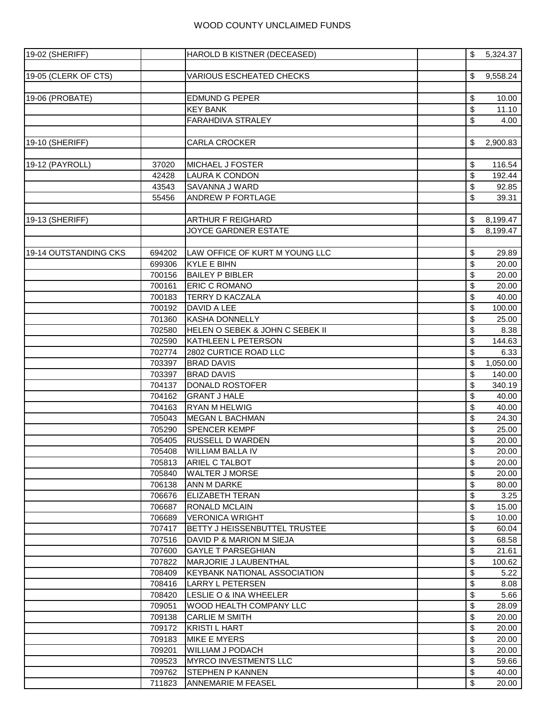| 19-02 (SHERIFF)       |        | HAROLD B KISTNER (DECEASED)         | \$       | 5,324.37         |
|-----------------------|--------|-------------------------------------|----------|------------------|
|                       |        |                                     |          |                  |
| 19-05 (CLERK OF CTS)  |        | VARIOUS ESCHEATED CHECKS            | \$       | 9,558.24         |
|                       |        |                                     |          |                  |
| 19-06 (PROBATE)       |        | EDMUND G PEPER                      | \$       | 10.00            |
|                       |        | <b>KEY BANK</b>                     | \$       | 11.10            |
|                       |        | FARAHDIVA STRALEY                   | \$       | 4.00             |
|                       |        |                                     |          |                  |
| 19-10 (SHERIFF)       |        | <b>CARLA CROCKER</b>                | \$       | 2,900.83         |
|                       |        |                                     |          |                  |
| 19-12 (PAYROLL)       | 37020  | <b>MICHAEL J FOSTER</b>             | \$       | 116.54           |
|                       | 42428  | <b>LAURA K CONDON</b>               | \$       | 192.44           |
|                       | 43543  | SAVANNA J WARD                      | \$       | 92.85            |
|                       | 55456  | ANDREW P FORTLAGE                   | \$       | 39.31            |
|                       |        |                                     |          |                  |
| 19-13 (SHERIFF)       |        | <b>ARTHUR F REIGHARD</b>            | \$       | 8,199.47         |
|                       |        | JOYCE GARDNER ESTATE                | \$       | 8,199.47         |
|                       |        |                                     |          |                  |
| 19-14 OUTSTANDING CKS | 694202 | LAW OFFICE OF KURT M YOUNG LLC      | \$       | 29.89            |
|                       | 699306 | KYLE E BIHN                         | \$       | 20.00            |
|                       | 700156 | <b>BAILEY P BIBLER</b>              | \$       | 20.00            |
|                       | 700161 | <b>ERIC C ROMANO</b>                | \$       | 20.00            |
|                       | 700183 | <b>TERRY D KACZALA</b>              | \$       | 40.00            |
|                       | 700192 | DAVID A LEE                         | \$       | 100.00           |
|                       | 701360 | KASHA DONNELLY                      | \$       | 25.00            |
|                       |        | HELEN O SEBEK & JOHN C SEBEK II     |          |                  |
|                       | 702580 | KATHLEEN L PETERSON                 | \$<br>\$ | 8.38             |
|                       | 702590 | 2802 CURTICE ROAD LLC               |          | 144.63           |
|                       | 702774 | <b>BRAD DAVIS</b>                   | \$       | 6.33<br>1,050.00 |
|                       | 703397 | <b>BRAD DAVIS</b>                   | \$       |                  |
|                       | 703397 |                                     | \$       | 140.00           |
|                       | 704137 | DONALD ROSTOFER                     | \$       | 340.19           |
|                       | 704162 | <b>GRANT J HALE</b>                 | \$       | 40.00            |
|                       | 704163 | <b>RYAN M HELWIG</b>                | \$       | 40.00            |
|                       | 705043 | <b>MEGAN L BACHMAN</b>              | \$       | 24.30            |
|                       | 705290 | <b>SPENCER KEMPF</b>                | \$       | 25.00            |
|                       | 705405 | <b>RUSSELL D WARDEN</b>             | \$       | 20.00            |
|                       | 705408 | <b>WILLIAM BALLA IV</b>             | \$       | 20.00            |
|                       | 705813 | ARIEL C TALBOT                      | \$       | 20.00            |
|                       | 705840 | <b>WALTER J MORSE</b>               | \$       | 20.00            |
|                       | 706138 | <b>ANN M DARKE</b>                  | \$       | 80.00            |
|                       | 706676 | <b>ELIZABETH TERAN</b>              | \$       | 3.25             |
|                       | 706687 | <b>RONALD MCLAIN</b>                | \$       | 15.00            |
|                       | 706689 | <b>VERONICA WRIGHT</b>              | \$       | 10.00            |
|                       | 707417 | BETTY J HEISSENBUTTEL TRUSTEE       | \$       | 60.04            |
|                       | 707516 | <b>I</b> DAVID P & MARION M SIEJA   | \$       | 68.58            |
|                       | 707600 | <b>GAYLE T PARSEGHIAN</b>           | \$       | 21.61            |
|                       | 707822 | MARJORIE J LAUBENTHAL               | \$       | 100.62           |
|                       | 708409 | <b>KEYBANK NATIONAL ASSOCIATION</b> | \$       | 5.22             |
|                       | 708416 | LARRY L PETERSEN                    | \$       | 8.08             |
|                       | 708420 | <b>I</b> LESLIE O & INA WHEELER     | \$       | 5.66             |
|                       | 709051 | <b>WOOD HEALTH COMPANY LLC</b>      | \$       | 28.09            |
|                       | 709138 | <b>CARLIE M SMITH</b>               | \$       | 20.00            |
|                       | 709172 | IKRISTI L HART                      | \$       | 20.00            |
|                       | 709183 | <b>MIKE E MYERS</b>                 | \$       | 20.00            |
|                       | 709201 | <b>WILLIAM J PODACH</b>             | \$       | 20.00            |
|                       | 709523 | <b>MYRCO INVESTMENTS LLC</b>        | \$       | 59.66            |
|                       | 709762 | <b>STEPHEN P KANNEN</b>             | \$       | 40.00            |
|                       | 711823 | ANNEMARIE M FEASEL                  | \$       | 20.00            |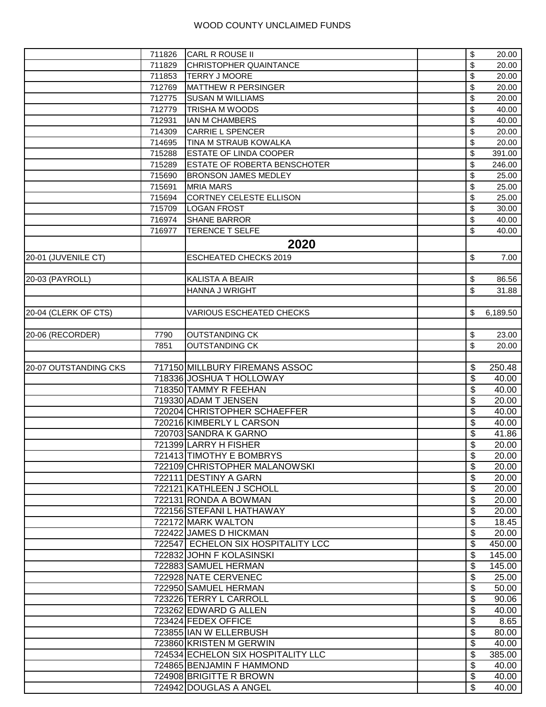|                       | 711826 | CARL R ROUSE II                     | \$       | 20.00              |
|-----------------------|--------|-------------------------------------|----------|--------------------|
|                       | 711829 | <b>CHRISTOPHER QUAINTANCE</b>       | \$       | 20.00              |
|                       | 711853 | <b>TERRY J MOORE</b>                | \$       | 20.00              |
|                       | 712769 | MATTHEW R PERSINGER                 | \$       | 20.00              |
|                       | 712775 | <b>SUSAN M WILLIAMS</b>             | \$       | $\overline{2}0.00$ |
|                       | 712779 | TRISHA M WOODS                      | \$       | 40.00              |
|                       | 712931 | <b>IAN M CHAMBERS</b>               | \$       | 40.00              |
|                       | 714309 | <b>CARRIE L SPENCER</b>             | \$       | 20.00              |
|                       | 714695 | TINA M STRAUB KOWALKA               | \$       | 20.00              |
|                       | 715288 | ESTATE OF LINDA COOPER              | \$       | 391.00             |
|                       | 715289 | <b>ESTATE OF ROBERTA BENSCHOTER</b> | \$       | 246.00             |
|                       | 715690 | <b>BRONSON JAMES MEDLEY</b>         | \$       | 25.00              |
|                       | 715691 | <b>MRIA MARS</b>                    | \$       | 25.00              |
|                       | 715694 | CORTNEY CELESTE ELLISON             | \$       | 25.00              |
|                       |        |                                     |          |                    |
|                       | 715709 | <b>LOGAN FROST</b>                  | \$       | 30.00              |
|                       | 716974 | <b>SHANE BARROR</b>                 | \$       | 40.00              |
|                       | 716977 | TERENCE T SELFE                     | \$       | 40.00              |
|                       |        | 2020                                |          |                    |
| 20-01 (JUVENILE CT)   |        | <b>ESCHEATED CHECKS 2019</b>        | \$       | 7.00               |
|                       |        |                                     |          |                    |
| 20-03 (PAYROLL)       |        | <b>KALISTA A BEAIR</b>              | \$       | 86.56              |
|                       |        | HANNA J WRIGHT                      | \$       | 31.88              |
|                       |        |                                     |          |                    |
| 20-04 (CLERK OF CTS)  |        | <b>VARIOUS ESCHEATED CHECKS</b>     |          | 6,189.50           |
|                       |        |                                     |          |                    |
| 20-06 (RECORDER)      | 7790   | <b>OUTSTANDING CK</b>               | \$       | 23.00              |
|                       | 7851   | <b>OUTSTANDING CK</b>               | \$       | 20.00              |
|                       |        |                                     |          |                    |
|                       |        | 717150 MILLBURY FIREMANS ASSOC      |          |                    |
| 20-07 OUTSTANDING CKS |        |                                     | \$       | 250.48             |
|                       |        | 718336 JOSHUA T HOLLOWAY            | \$       | 40.00              |
|                       |        | 718350 TAMMY R FEEHAN               | \$       | 40.00              |
|                       |        | 719330 ADAM T JENSEN                | \$       | 20.00              |
|                       |        | 720204 CHRISTOPHER SCHAEFFER        | \$       | 40.00              |
|                       |        | 720216 KIMBERLY L CARSON            | \$       | 40.00              |
|                       |        | 720703 SANDRA K GARNO               | \$       | 41.86              |
|                       |        | 721399 LARRY H FISHER               | \$       | 20.00              |
|                       |        | 721413 TIMOTHY E BOMBRYS            | \$       | 20.00              |
|                       |        | 722109 CHRISTOPHER MALANOWSKI       | \$       | 20.00              |
|                       |        | 722111 DESTINY A GARN               | \$       | 20.00              |
|                       |        | 722121 KATHLEEN J SCHOLL            | \$       | 20.00              |
|                       |        | 722131 RONDA A BOWMAN               | \$       | 20.00              |
|                       |        | 722156 STEFANI L HATHAWAY           | \$       | 20.00              |
|                       |        | 722172 MARK WALTON                  | \$       | 18.45              |
|                       |        | 722422 JAMES D HICKMAN              | \$       | 20.00              |
|                       |        | 722547 ECHELON SIX HOSPITALITY LCC  | \$       | 450.00             |
|                       |        | 722832 JOHN F KOLASINSKI            | \$       | 145.00             |
|                       |        | 722883 SAMUEL HERMAN                | \$       | 145.00             |
|                       |        | 722928 NATE CERVENEC                | \$       | 25.00              |
|                       |        | 722950 SAMUEL HERMAN                | \$       | 50.00              |
|                       |        | 723226 TERRY L CARROLL              | \$       | 90.06              |
|                       |        | 723262 EDWARD G ALLEN               | \$       | 40.00              |
|                       |        | 723424 FEDEX OFFICE                 | \$       | 8.65               |
|                       |        | 723855 IAN W ELLERBUSH              | \$       | 80.00              |
|                       |        | 723860 KRISTEN M GERWIN             | \$       | 40.00              |
|                       |        | 724534 ECHELON SIX HOSPITALITY LLC  | \$       | 385.00             |
|                       |        | 724865 BENJAMIN F HAMMOND           | \$       | 40.00              |
|                       |        | 724908 BRIGITTE R BROWN             |          | 40.00              |
|                       |        |                                     | \$<br>\$ |                    |
|                       |        | 724942 DOUGLAS A ANGEL              |          | 40.00              |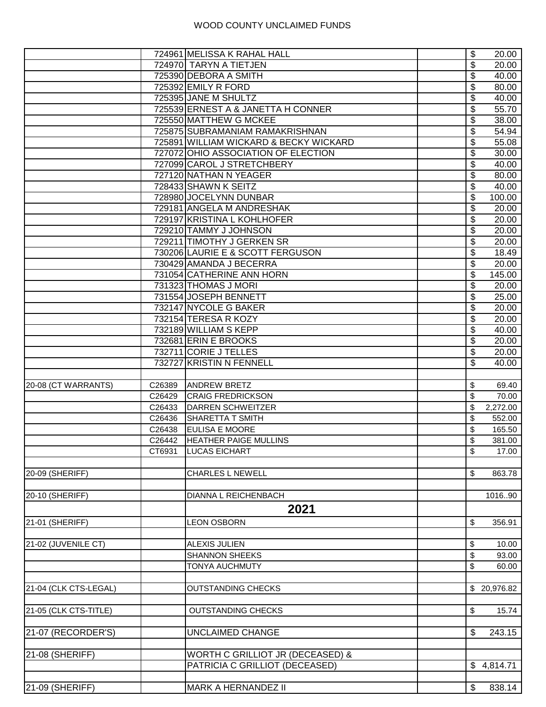|                       |        | 724961 MELISSA K RAHAL HALL            | \$ | 20.00        |
|-----------------------|--------|----------------------------------------|----|--------------|
|                       |        | 724970 TARYN A TIETJEN                 | \$ | 20.00        |
|                       |        | 725390 DEBORA A SMITH                  | \$ | 40.00        |
|                       |        | 725392 EMILY R FORD                    | \$ | 80.00        |
|                       |        | 725395 JANE M SHULTZ                   | \$ | 40.00        |
|                       |        | 725539 ERNEST A & JANETTA H CONNER     | \$ | 55.70        |
|                       |        | 725550 MATTHEW G MCKEE                 | \$ | 38.00        |
|                       |        | 725875 SUBRAMANIAM RAMAKRISHNAN        | \$ | 54.94        |
|                       |        | 725891 WILLIAM WICKARD & BECKY WICKARD | \$ | 55.08        |
|                       |        | 727072 OHIO ASSOCIATION OF ELECTION    | \$ | 30.00        |
|                       |        | 727099 CAROL J STRETCHBERY             | \$ | 40.00        |
|                       |        | 727120 NATHAN N YEAGER                 | \$ | 80.00        |
|                       |        | 728433 SHAWN K SEITZ                   | \$ | 40.00        |
|                       |        | 728980 JOCELYNN DUNBAR                 | \$ | 100.00       |
|                       |        | 729181 ANGELA M ANDRESHAK              | \$ | 20.00        |
|                       |        | 729197 KRISTINA L KOHLHOFER            | \$ | 20.00        |
|                       |        | 729210 TAMMY J JOHNSON                 | \$ | 20.00        |
|                       |        | 729211 TIMOTHY J GERKEN SR             | \$ | 20.00        |
|                       |        | 730206 LAURIE E & SCOTT FERGUSON       |    |              |
|                       |        |                                        | \$ | 18.49        |
|                       |        | 730429 AMANDA J BECERRA                | \$ | 20.00        |
|                       |        | 731054 CATHERINE ANN HORN              | \$ | 145.00       |
|                       |        | 731323 THOMAS J MORI                   | \$ | 20.00        |
|                       |        | 731554 JOSEPH BENNETT                  | \$ | 25.00        |
|                       |        | 732147 NYCOLE G BAKER                  | \$ | 20.00        |
|                       |        | 732154 TERESA R KOZY                   | \$ | 20.00        |
|                       |        | 732189 WILLIAM S KEPP                  | \$ | 40.00        |
|                       |        | 732681 ERIN E BROOKS                   | \$ | 20.00        |
|                       |        | 732711 CORIE J TELLES                  | \$ | 20.00        |
|                       |        | 732727 KRISTIN N FENNELL               | \$ | 40.00        |
| 20-08 (CT WARRANTS)   | C26389 | <b>ANDREW BRETZ</b>                    | \$ | 69.40        |
|                       | C26429 | <b>CRAIG FREDRICKSON</b>               | \$ | 70.00        |
|                       | C26433 | <b>DARREN SCHWEITZER</b>               | \$ | 2,272.00     |
|                       | C26436 | <b>SHARETTA T SMITH</b>                | \$ | 552.00       |
|                       | C26438 | EULISA E MOORE                         | \$ | 165.50       |
|                       | C26442 | <b>HEATHER PAIGE MULLINS</b>           | \$ | 381.00       |
|                       | CT6931 | <b>LUCAS EICHART</b>                   | \$ | 17.00        |
|                       |        |                                        |    |              |
| 20-09 (SHERIFF)       |        | <b>CHARLES L NEWELL</b>                | \$ | 863.78       |
|                       |        |                                        |    |              |
| 20-10 (SHERIFF)       |        | DIANNA L REICHENBACH                   |    | 101690       |
|                       |        | 2021                                   |    |              |
|                       |        |                                        |    |              |
| 21-01 (SHERIFF)       |        | <b>LEON OSBORN</b>                     | \$ | 356.91       |
|                       |        | <b>ALEXIS JULIEN</b>                   |    |              |
| 21-02 (JUVENILE CT)   |        |                                        | \$ | 10.00        |
|                       |        | <b>SHANNON SHEEKS</b>                  | \$ | 93.00        |
|                       |        | <b>TONYA AUCHMUTY</b>                  | \$ | 60.00        |
| 21-04 (CLK CTS-LEGAL) |        | <b>OUTSTANDING CHECKS</b>              |    | \$ 20,976.82 |
|                       |        |                                        |    |              |
|                       |        |                                        |    |              |
| 21-05 (CLK CTS-TITLE) |        | <b>OUTSTANDING CHECKS</b>              | \$ | 15.74        |
| 21-07 (RECORDER'S)    |        | <b>UNCLAIMED CHANGE</b>                | \$ | 243.15       |
|                       |        |                                        |    |              |
| 21-08 (SHERIFF)       |        | WORTH C GRILLIOT JR (DECEASED) &       |    |              |
|                       |        | PATRICIA C GRILLIOT (DECEASED)         |    | \$4,814.71   |
|                       |        |                                        |    |              |
| 21-09 (SHERIFF)       |        | <b>MARK A HERNANDEZ II</b>             | \$ | 838.14       |
|                       |        |                                        |    |              |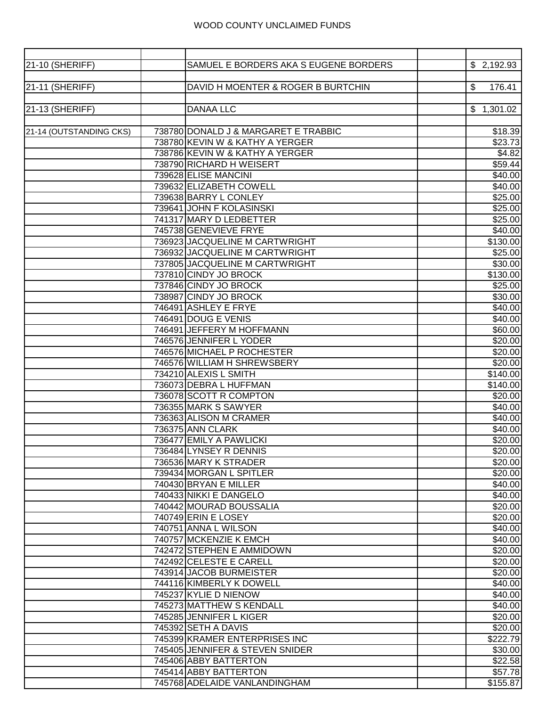| 21-10 (SHERIFF)         | SAMUEL E BORDERS AKA S EUGENE BORDERS                | \$2,192.93          |
|-------------------------|------------------------------------------------------|---------------------|
|                         |                                                      |                     |
| 21-11 (SHERIFF)         | DAVID H MOENTER & ROGER B BURTCHIN                   | 176.41<br>S         |
|                         |                                                      |                     |
| 21-13 (SHERIFF)         | <b>DANAA LLC</b>                                     | \$1,301.02          |
| 21-14 (OUTSTANDING CKS) | 738780 DONALD J & MARGARET E TRABBIC                 | \$18.39             |
|                         | 738780 KEVIN W & KATHY A YERGER                      | \$23.73             |
|                         | 738786 KEVIN W & KATHY A YERGER                      | \$4.82              |
|                         | 738790 RICHARD H WEISERT                             | \$59.44             |
|                         | 739628 ELISE MANCINI                                 | \$40.00             |
|                         | 739632 ELIZABETH COWELL                              | \$40.00             |
|                         | 739638 BARRY L CONLEY                                | \$25.00             |
|                         | 739641 JOHN F KOLASINSKI                             | \$25.00             |
|                         | 741317 MARY D LEDBETTER                              | \$25.00             |
|                         | 745738 GENEVIEVE FRYE                                | \$40.00             |
|                         | 736923 JACQUELINE M CARTWRIGHT                       | \$130.00            |
|                         | 736932 JACQUELINE M CARTWRIGHT                       | \$25.00             |
|                         | 737805 JACQUELINE M CARTWRIGHT                       | \$30.00             |
|                         | 737810 CINDY JO BROCK                                | \$130.00            |
|                         | 737846 CINDY JO BROCK                                | \$25.00             |
|                         | 738987 CINDY JO BROCK                                | \$30.00             |
|                         | 746491 ASHLEY E FRYE                                 | \$40.00             |
|                         | 746491 DOUG E VENIS                                  | \$40.00             |
|                         | 746491 JEFFERY M HOFFMANN                            | \$60.00             |
|                         | 746576 JENNIFER L YODER                              | \$20.00             |
|                         | 746576 MICHAEL P ROCHESTER                           | \$20.00             |
|                         | 746576 WILLIAM H SHREWSBERY                          | \$20.00             |
|                         | 734210 ALEXIS L SMITH                                | \$140.00            |
|                         | 736073 DEBRA L HUFFMAN<br>736078 SCOTT R COMPTON     | \$140.00<br>\$20.00 |
|                         | 736355 MARK S SAWYER                                 | \$40.00             |
|                         | 736363 ALISON M CRAMER                               | \$40.00             |
|                         | 736375 ANN CLARK                                     | \$40.00             |
|                         | 736477 EMILY A PAWLICKI                              | \$20.00             |
|                         | 736484 LYNSEY R DENNIS                               | \$20.00             |
|                         | 736536 MARY K STRADER                                | \$20.00             |
|                         | 739434 MORGAN L SPITLER                              | \$20.00             |
|                         | 740430 BRYAN E MILLER                                | \$40.00             |
|                         | 740433 NIKKI E DANGELO                               | \$40.00             |
|                         | 740442 MOURAD BOUSSALIA                              | \$20.00             |
|                         | 740749 ERIN E LOSEY                                  | \$20.00             |
|                         | 740751 ANNA L WILSON                                 | \$40.00             |
|                         | 740757 MCKENZIE K EMCH                               | \$40.00             |
|                         | 742472 STEPHEN E AMMIDOWN                            | \$20.00             |
|                         | 742492 CELESTE E CARELL                              | \$20.00             |
|                         | 743914 JACOB BURMEISTER                              | \$20.00             |
|                         | 744116 KIMBERLY K DOWELL                             | \$40.00             |
|                         | 745237 KYLIE D NIENOW                                | \$40.00             |
|                         | 745273 MATTHEW S KENDALL                             | \$40.00             |
|                         | 745285 JENNIFER L KIGER                              | \$20.00             |
|                         | 745392 SETH A DAVIS<br>745399 KRAMER ENTERPRISES INC | \$20.00<br>\$222.79 |
|                         | 745405 JENNIFER & STEVEN SNIDER                      | \$30.00             |
|                         | 745406 ABBY BATTERTON                                | \$22.58             |
|                         | 745414 ABBY BATTERTON                                | \$57.78             |
|                         | 745768 ADELAIDE VANLANDINGHAM                        | \$155.87            |